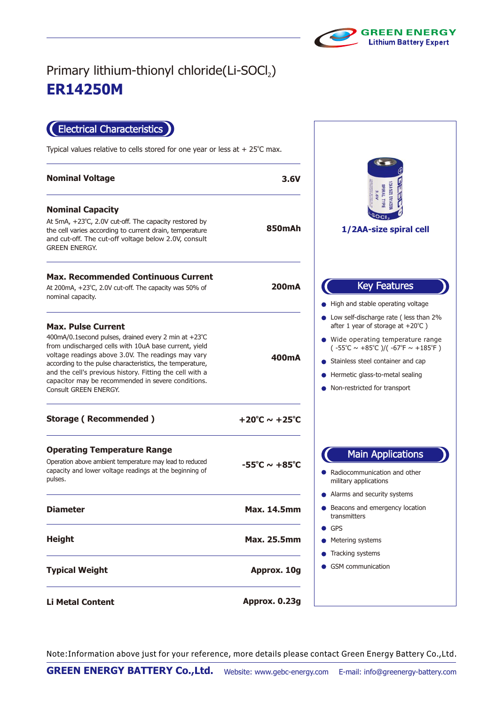

 $\sqrt{2}$ 

## **ER14250M** Primary lithium-thionyl chloride(Li-SOCl2)

Electrical Characteristics

Typical values relative to cells stored for one year or less at  $+25^{\circ}$ C max.

| <b>Nominal Voltage</b>                                                                                                                                                                                                                                                                                                                                                                                   | 3.6V                              | 3.6V                                                                                                                                                                                                                                                                                                                                          |
|----------------------------------------------------------------------------------------------------------------------------------------------------------------------------------------------------------------------------------------------------------------------------------------------------------------------------------------------------------------------------------------------------------|-----------------------------------|-----------------------------------------------------------------------------------------------------------------------------------------------------------------------------------------------------------------------------------------------------------------------------------------------------------------------------------------------|
| <b>Nominal Capacity</b><br>At 5mA, +23°C, 2.0V cut-off. The capacity restored by<br>the cell varies according to current drain, temperature<br>and cut-off. The cut-off voltage below 2.0V, consult<br><b>GREEN ENERGY.</b>                                                                                                                                                                              | <b>850mAh</b>                     | <b>DAN SIZE ERNASSING</b><br>1/2AA-size spiral cell                                                                                                                                                                                                                                                                                           |
| <b>Max. Recommended Continuous Current</b><br>At 200mA, +23°C, 2.0V cut-off. The capacity was 50% of<br>nominal capacity.                                                                                                                                                                                                                                                                                | 200 <sub>m</sub> A                | <b>Key Features</b><br>• High and stable operating voltage                                                                                                                                                                                                                                                                                    |
| <b>Max. Pulse Current</b><br>400mA/0.1 second pulses, drained every 2 min at +23°C<br>from undischarged cells with 10uA base current, yield<br>voltage readings above 3.0V. The readings may vary<br>according to the pulse characteristics, the temperature,<br>and the cell's previous history. Fitting the cell with a<br>capacitor may be recommended in severe conditions.<br>Consult GREEN ENERGY. | 400mA                             | • Low self-discharge rate (less than 2%<br>after 1 year of storage at $+20^{\circ}$ C )<br>● Wide operating temperature range<br>$(-55^{\circ}\text{C} \sim +85^{\circ}\text{C})/(-67^{\circ}\text{F} \sim +185^{\circ}\text{F})$<br>• Stainless steel container and cap<br>Hermetic glass-to-metal sealing<br>• Non-restricted for transport |
| <b>Storage (Recommended)</b>                                                                                                                                                                                                                                                                                                                                                                             | +20°C $\sim$ +25°C                |                                                                                                                                                                                                                                                                                                                                               |
| <b>Operating Temperature Range</b><br>Operation above ambient temperature may lead to reduced<br>capacity and lower voltage readings at the beginning of<br>pulses.                                                                                                                                                                                                                                      | $-55^{\circ}$ C ~ $+85^{\circ}$ C | <b>Main Applications</b><br>• Radiocommunication and other<br>military applications                                                                                                                                                                                                                                                           |
| <b>Diameter</b>                                                                                                                                                                                                                                                                                                                                                                                          | <b>Max. 14.5mm</b>                | • Alarms and security systems<br>● Beacons and emergency location<br>transmitters                                                                                                                                                                                                                                                             |
| <b>Height</b>                                                                                                                                                                                                                                                                                                                                                                                            | <b>Max. 25.5mm</b>                | GPS<br>• Metering systems<br>• Tracking systems                                                                                                                                                                                                                                                                                               |
| <b>Typical Weight</b>                                                                                                                                                                                                                                                                                                                                                                                    | Approx. 10g                       | <b>GSM</b> communication                                                                                                                                                                                                                                                                                                                      |
| <b>Li Metal Content</b>                                                                                                                                                                                                                                                                                                                                                                                  | Approx. 0.23g                     |                                                                                                                                                                                                                                                                                                                                               |

Note:Information above just for your reference, more details please contact Green Energy Battery Co.,Ltd.